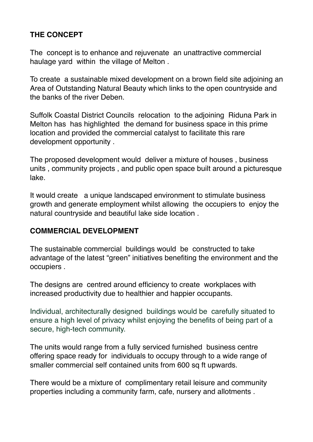# **THE CONCEPT**

The concept is to enhance and rejuvenate an unattractive commercial haulage yard within the village of Melton .

To create a sustainable mixed development on a brown field site adjoining an Area of Outstanding Natural Beauty which links to the open countryside and the banks of the river Deben.

Suffolk Coastal District Councils relocation to the adjoining Riduna Park in Melton has has highlighted the demand for business space in this prime location and provided the commercial catalyst to facilitate this rare development opportunity .

The proposed development would deliver a mixture of houses , business units , community projects , and public open space built around a picturesque lake.

It would create a unique landscaped environment to stimulate business growth and generate employment whilst allowing the occupiers to enjoy the natural countryside and beautiful lake side location .

### **COMMERCIAL DEVELOPMENT**

The sustainable commercial buildings would be constructed to take advantage of the latest "green" initiatives benefiting the environment and the occupiers .

The designs are centred around efficiency to create workplaces with increased productivity due to healthier and happier occupants.

Individual, architecturally designed buildings would be carefully situated to ensure a high level of privacy whilst enjoying the benefits of being part of a secure, high-tech community.

The units would range from a fully serviced furnished business centre offering space ready for individuals to occupy through to a wide range of smaller commercial self contained units from 600 sq ft upwards.

There would be a mixture of complimentary retail leisure and community properties including a community farm, cafe, nursery and allotments .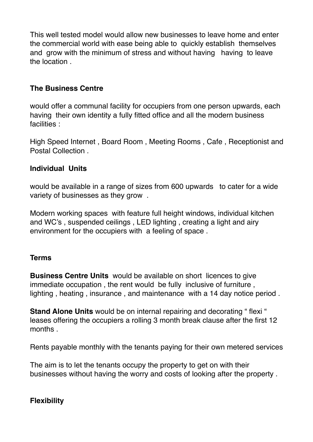This well tested model would allow new businesses to leave home and enter the commercial world with ease being able to quickly establish themselves and grow with the minimum of stress and without having having to leave the location .

# **The Business Centre**

would offer a communal facility for occupiers from one person upwards, each having their own identity a fully fitted office and all the modern business facilities :

High Speed Internet , Board Room , Meeting Rooms , Cafe , Receptionist and Postal Collection .

### **Individual Units**

would be available in a range of sizes from 600 upwards to cater for a wide variety of businesses as they grow .

Modern working spaces with feature full height windows, individual kitchen and WC's , suspended ceilings , LED lighting , creating a light and airy environment for the occupiers with a feeling of space .

#### **Terms**

**Business Centre Units** would be available on short licences to give immediate occupation , the rent would be fully inclusive of furniture , lighting , heating , insurance , and maintenance with a 14 day notice period .

**Stand Alone Units** would be on internal repairing and decorating " flexi " leases offering the occupiers a rolling 3 month break clause after the first 12 months .

Rents payable monthly with the tenants paying for their own metered services

The aim is to let the tenants occupy the property to get on with their businesses without having the worry and costs of looking after the property .

### **Flexibility**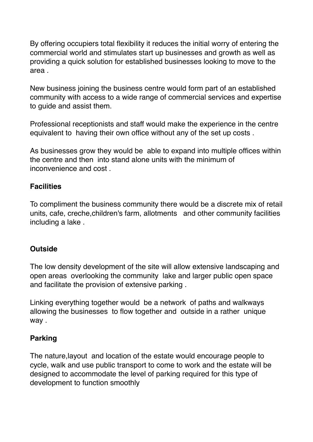By offering occupiers total flexibility it reduces the initial worry of entering the commercial world and stimulates start up businesses and growth as well as providing a quick solution for established businesses looking to move to the area .

New business joining the business centre would form part of an established community with access to a wide range of commercial services and expertise to guide and assist them.

Professional receptionists and staff would make the experience in the centre equivalent to having their own office without any of the set up costs .

As businesses grow they would be able to expand into multiple offices within the centre and then into stand alone units with the minimum of inconvenience and cost .

### **Facilities**

To compliment the business community there would be a discrete mix of retail units, cafe, creche,children's farm, allotments and other community facilities including a lake .

# **Outside**

The low density development of the site will allow extensive landscaping and open areas overlooking the community lake and larger public open space and facilitate the provision of extensive parking .

Linking everything together would be a network of paths and walkways allowing the businesses to flow together and outside in a rather unique way .

### **Parking**

The nature,layout and location of the estate would encourage people to cycle, walk and use public transport to come to work and the estate will be designed to accommodate the level of parking required for this type of development to function smoothly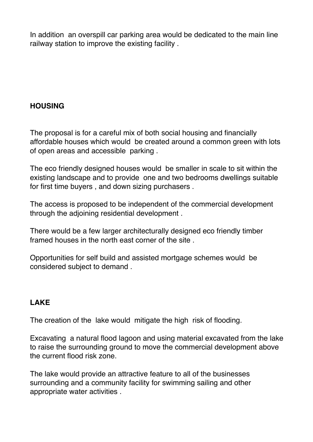In addition an overspill car parking area would be dedicated to the main line railway station to improve the existing facility .

# **HOUSING**

The proposal is for a careful mix of both social housing and financially affordable houses which would be created around a common green with lots of open areas and accessible parking .

The eco friendly designed houses would be smaller in scale to sit within the existing landscape and to provide one and two bedrooms dwellings suitable for first time buyers , and down sizing purchasers .

The access is proposed to be independent of the commercial development through the adjoining residential development .

There would be a few larger architecturally designed eco friendly timber framed houses in the north east corner of the site .

Opportunities for self build and assisted mortgage schemes would be considered subject to demand .

# **LAKE**

The creation of the lake would mitigate the high risk of flooding.

Excavating a natural flood lagoon and using material excavated from the lake to raise the surrounding ground to move the commercial development above the current flood risk zone.

The lake would provide an attractive feature to all of the businesses surrounding and a community facility for swimming sailing and other appropriate water activities .